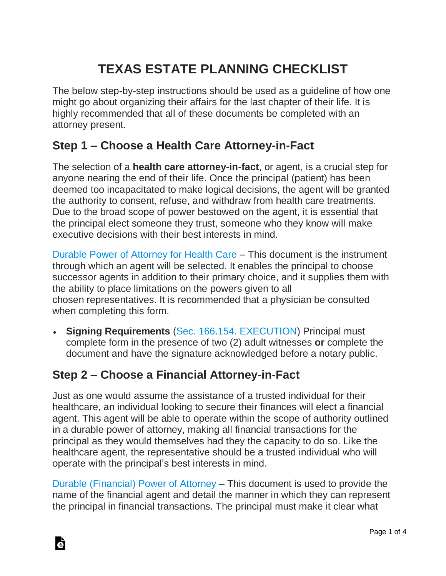# **TEXAS ESTATE PLANNING CHECKLIST**

The below step-by-step instructions should be used as a guideline of how one might go about organizing their affairs for the last chapter of their life. It is highly recommended that all of these documents be completed with an attorney present.

#### **Step 1 – Choose a Health Care Attorney-in-Fact**

The selection of a **health care attorney-in-fact**, or agent, is a crucial step for anyone nearing the end of their life. Once the principal (patient) has been deemed too incapacitated to make logical decisions, the agent will be granted the authority to consent, refuse, and withdraw from health care treatments. Due to the broad scope of power bestowed on the agent, it is essential that the principal elect someone they trust, someone who they know will make executive decisions with their best interests in mind.

[Durable Power of Attorney for Health Care](https://eforms.com/power-of-attorney/tx/texas-medical-power-of-attorney/) – This document is the instrument through which an agent will be selected. It enables the principal to choose successor agents in addition to their primary choice, and it supplies them with the ability to place limitations on the powers given to all chosen representatives. It is recommended that a physician be consulted when completing this form.

• **Signing Requirements** [\(Sec. 166.154. EXECUTION\)](https://statutes.capitol.texas.gov/Docs/HS/htm/HS.166.htm#166.031) Principal must complete form in the presence of two (2) adult witnesses **or** complete the document and have the signature acknowledged before a notary public.

## **Step 2 – Choose a Financial Attorney-in-Fact**

Just as one would assume the assistance of a trusted individual for their healthcare, an individual looking to secure their finances will elect a financial agent. This agent will be able to operate within the scope of authority outlined in a durable power of attorney, making all financial transactions for the principal as they would themselves had they the capacity to do so. Like the healthcare agent, the representative should be a trusted individual who will operate with the principal's best interests in mind.

[Durable \(Financial\) Power of Attorney](https://eforms.com/power-of-attorney/tx/texas-durable-power-of-attorney/) – This document is used to provide the name of the financial agent and detail the manner in which they can represent the principal in financial transactions. The principal must make it clear what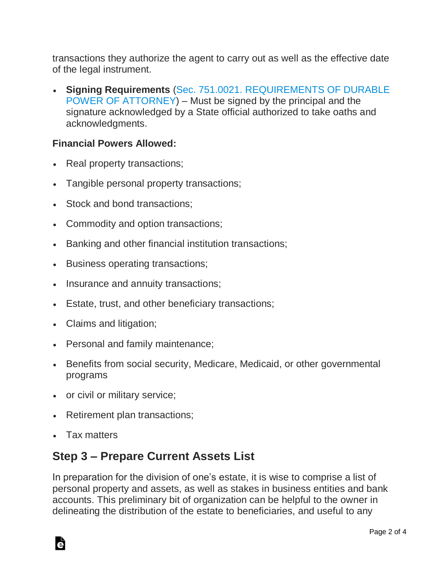transactions they authorize the agent to carry out as well as the effective date of the legal instrument.

• **Signing Requirements** [\(Sec. 751.0021. REQUIREMENTS OF DURABLE](https://statutes.capitol.texas.gov/Docs/ES/htm/ES.751.htm#751.0021)  [POWER OF ATTORNEY\)](https://statutes.capitol.texas.gov/Docs/ES/htm/ES.751.htm#751.0021) – Must be signed by the principal and the signature acknowledged by a State official authorized to take oaths and acknowledgments.

#### **Financial Powers Allowed:**

- Real property transactions;
- Tangible personal property transactions;
- Stock and bond transactions;
- Commodity and option transactions;
- Banking and other financial institution transactions;
- Business operating transactions;
- Insurance and annuity transactions;
- Estate, trust, and other beneficiary transactions;
- Claims and litigation;
- Personal and family maintenance;
- Benefits from social security, Medicare, Medicaid, or other governmental programs
- or civil or military service;
- Retirement plan transactions;
- Tax matters

#### **Step 3 – Prepare Current Assets List**

In preparation for the division of one's estate, it is wise to comprise a list of personal property and assets, as well as stakes in business entities and bank accounts. This preliminary bit of organization can be helpful to the owner in delineating the distribution of the estate to beneficiaries, and useful to any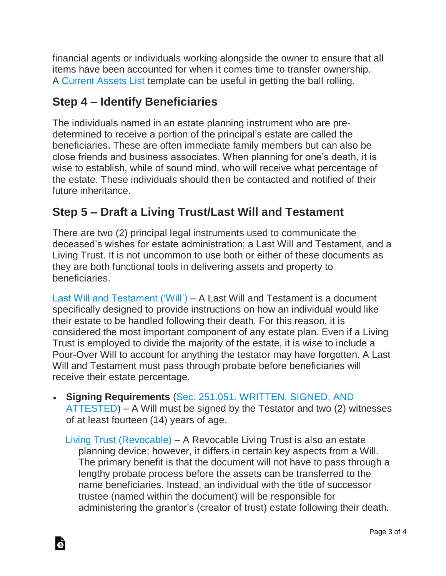financial agents or individuals working alongside the owner to ensure that all items have been accounted for when it comes time to transfer ownership. A [Current Assets List](https://eforms.com/estate-planning/current-assets-list/) template can be useful in getting the ball rolling.

# **Step 4 – Identify Beneficiaries**

The individuals named in an estate planning instrument who are predetermined to receive a portion of the principal's estate are called the beneficiaries. These are often immediate family members but can also be close friends and business associates. When planning for one's death, it is wise to establish, while of sound mind, who will receive what percentage of the estate. These individuals should then be contacted and notified of their future inheritance.

# **Step 5 – Draft a Living Trust/Last Will and Testament**

There are two (2) principal legal instruments used to communicate the deceased's wishes for estate administration; a Last Will and Testament, and a Living Trust. It is not uncommon to use both or either of these documents as they are both functional tools in delivering assets and property to beneficiaries.

[Last Will and Testament \('Will'\)](https://eforms.com/wills/texas-last-will-and-testament-template/) – A Last Will and Testament is a document specifically designed to provide instructions on how an individual would like their estate to be handled following their death. For this reason, it is considered the most important component of any estate plan. Even if a Living Trust is employed to divide the majority of the estate, it is wise to include a Pour-Over Will to account for anything the testator may have forgotten. A Last Will and Testament must pass through probate before beneficiaries will receive their estate percentage.

- **Signing Requirements** [\(Sec. 251.051. WRITTEN, SIGNED, AND](https://statutes.capitol.texas.gov/Docs/ES/htm/ES.251.htm)  [ATTESTED\)](https://statutes.capitol.texas.gov/Docs/ES/htm/ES.251.htm) – A Will must be signed by the Testator and two (2) witnesses of at least fourteen (14) years of age.
	- [Living Trust \(Revocable\)](https://eforms.com/living-trust/tx/texas-revocable-living-trust-form/) A Revocable Living Trust is also an estate planning device; however, it differs in certain key aspects from a Will. The primary benefit is that the document will not have to pass through a lengthy probate process before the assets can be transferred to the name beneficiaries. Instead, an individual with the title of successor trustee (named within the document) will be responsible for administering the grantor's (creator of trust) estate following their death.